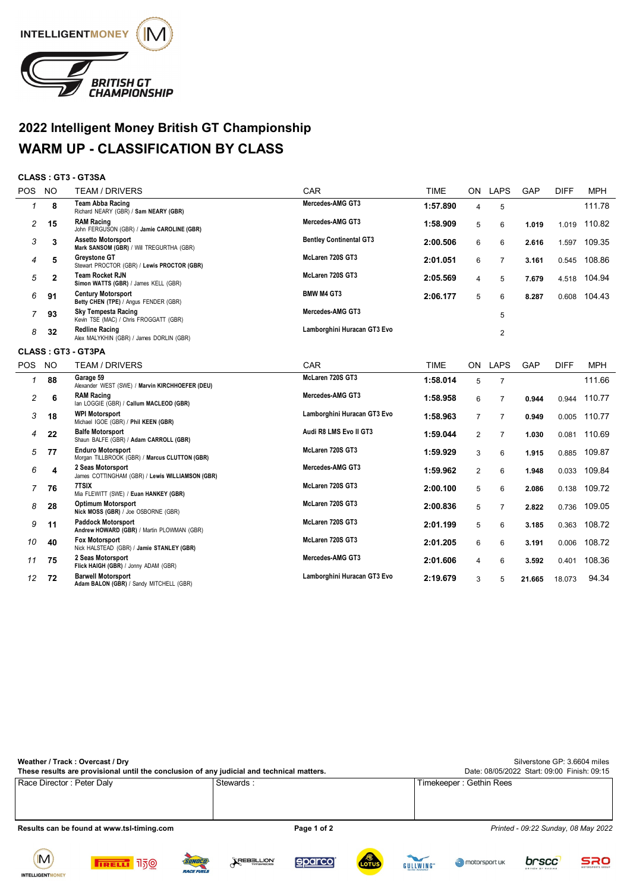

## **2022 Intelligent Money British GT Championship WARM UP - CLASSIFICATION BY CLASS**

## **CLASS : GT3 - GT3SA**

| <b>POS</b>     | <b>NO</b>    | <b>TEAM / DRIVERS</b>                                                     | CAR                            | <b>TIME</b> | ON             | <b>LAPS</b>    | GAP    | <b>DIFF</b> | <b>MPH</b> |
|----------------|--------------|---------------------------------------------------------------------------|--------------------------------|-------------|----------------|----------------|--------|-------------|------------|
| 1              | 8            | Team Abba Racing<br>Richard NEARY (GBR) / Sam NEARY (GBR)                 | Mercedes-AMG GT3               | 1:57.890    | 4              | 5              |        |             | 111.78     |
| 2              | 15           | <b>RAM Racing</b><br>John FERGUSON (GBR) / Jamie CAROLINE (GBR)           | Mercedes-AMG GT3               | 1:58.909    | 5              | 6              | 1.019  | 1.019       | 110.82     |
| 3              | 3            | <b>Assetto Motorsport</b><br>Mark SANSOM (GBR) / Will TREGURTHA (GBR)     | <b>Bentley Continental GT3</b> | 2:00.506    | 6              | 6              | 2.616  | 1.597       | 109.35     |
| 4              | 5            | <b>Greystone GT</b><br>Stewart PROCTOR (GBR) / Lewis PROCTOR (GBR)        | McLaren 720S GT3               | 2:01.051    | 6              | 7              | 3.161  | 0.545       | 108.86     |
| 5              | $\mathbf{2}$ | <b>Team Rocket RJN</b><br>Simon WATTS (GBR) / James KELL (GBR)            | McLaren 720S GT3               | 2:05.569    | 4              | 5              | 7.679  | 4.518       | 104.94     |
| 6              | 91           | <b>Century Motorsport</b><br>Betty CHEN (TPE) / Angus FENDER (GBR)        | <b>BMW M4 GT3</b>              | 2:06.177    | 5              | 6              | 8.287  | 0.608       | 104.43     |
| 7              | 93           | <b>Sky Tempesta Racing</b><br>Kevin TSE (MAC) / Chris FROGGATT (GBR)      | Mercedes-AMG GT3               |             |                | 5              |        |             |            |
| 8              | 32           | <b>Redline Racing</b><br>Alex MALYKHIN (GBR) / James DORLIN (GBR)         | Lamborghini Huracan GT3 Evo    |             |                | $\overline{2}$ |        |             |            |
|                |              | <b>CLASS: GT3 - GT3PA</b>                                                 |                                |             |                |                |        |             |            |
| POS NO         |              | <b>TEAM / DRIVERS</b>                                                     | CAR                            | <b>TIME</b> | ON             | <b>LAPS</b>    | GAP    | <b>DIFF</b> | <b>MPH</b> |
| 1              | 88           | Garage 59<br>Alexander WEST (SWE) / Marvin KIRCHHOEFER (DEU)              | McLaren 720S GT3               | 1:58.014    | 5              | $\overline{7}$ |        |             | 111.66     |
| $\overline{c}$ | 6            | <b>RAM Racing</b><br>lan LOGGIE (GBR) / Callum MACLEOD (GBR)              | Mercedes-AMG GT3               | 1:58.958    | 6              | $\overline{7}$ | 0.944  | 0.944       | 110.77     |
| 3              | 18           | <b>WPI Motorsport</b><br>Michael IGOE (GBR) / Phil KEEN (GBR)             | Lamborghini Huracan GT3 Evo    | 1:58.963    | $\overline{7}$ | $\overline{7}$ | 0.949  | 0.005       | 110.77     |
| 4              | 22           | <b>Balfe Motorsport</b><br>Shaun BALFE (GBR) / Adam CARROLL (GBR)         | Audi R8 LMS Evo II GT3         | 1:59.044    | $\overline{2}$ | $\overline{7}$ | 1.030  | 0.081       | 110.69     |
| 5              | 77           | <b>Enduro Motorsport</b><br>Morgan TILLBROOK (GBR) / Marcus CLUTTON (GBR) | McLaren 720S GT3               | 1:59.929    | 3              | 6              | 1.915  | 0.885       | 109.87     |
| 6              | 4            | 2 Seas Motorsport<br>James COTTINGHAM (GBR) / Lewis WILLIAMSON (GBR)      | Mercedes-AMG GT3               | 1:59.962    | 2              | 6              | 1.948  | 0.033       | 109.84     |
| 7              | 76           | 7TSIX<br>Mia FLEWITT (SWE) / Euan HANKEY (GBR)                            | McLaren 720S GT3               | 2:00.100    | 5              | 6              | 2.086  | 0.138       | 109.72     |
| 8              | 28           | <b>Optimum Motorsport</b><br>Nick MOSS (GBR) / Joe OSBORNE (GBR)          | McLaren 720S GT3               | 2:00.836    | 5              | $\overline{7}$ | 2.822  | 0.736       | 109.05     |
| 9              | 11           | <b>Paddock Motorsport</b><br>Andrew HOWARD (GBR) / Martin PLOWMAN (GBR)   | McLaren 720S GT3               | 2:01.199    | 5              | 6              | 3.185  | 0.363       | 108.72     |
| 10             | 40           | <b>Fox Motorsport</b><br>Nick HALSTEAD (GBR) / Jamie STANLEY (GBR)        | McLaren 720S GT3               | 2:01.205    | 6              | 6              | 3.191  | 0.006       | 108.72     |
| 11             | 75           | 2 Seas Motorsport<br>Flick HAIGH (GBR) / Jonny ADAM (GBR)                 | Mercedes-AMG GT3               | 2:01.606    | 4              | 6              | 3.592  | 0.401       | 108.36     |
| 12             | 72           | <b>Barwell Motorsport</b><br>Adam BALON (GBR) / Sandy MITCHELL (GBR)      | Lamborghini Huracan GT3 Evo    | 2:19.679    | 3              | 5              | 21.665 | 18.073      | 94.34      |

| Weather / Track: Overcast / Dry<br>These results are provisional until the conclusion of any judicial and technical matters. | Silverstone GP: 3.6604 miles<br>Date: 08/05/2022 Start: 09:00 Finish: 09:15 |                                     |
|------------------------------------------------------------------------------------------------------------------------------|-----------------------------------------------------------------------------|-------------------------------------|
| Race Director: Peter Daly                                                                                                    | Stewards:                                                                   | Timekeeper: Gethin Rees             |
| Results can be found at www.tsl-timing.com                                                                                   | Page 1 of 2                                                                 | Printed - 09:22 Sunday, 08 May 2022 |